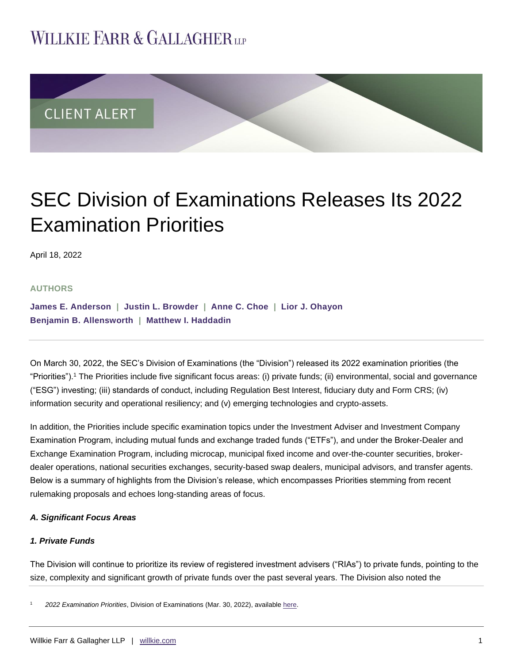# **WILLKIE FARR & GALLAGHERUP**



# SEC Division of Examinations Releases Its 2022 Examination Priorities

April 18, 2022

## **AUTHORS**

**[James E. Anderson](https://www.willkie.com/professionals/a/anderson-james) | [Justin L. Browder](https://www.willkie.com/professionals/b/browder-justin) | [Anne C. Choe](https://www.willkie.com/professionals/c/choe-anne) | [Lior J. Ohayon](https://www.willkie.com/professionals/o/ohayon-lior) [Benjamin B. Allensworth](https://www.willkie.com/professionals/a/allensworth-benjamin) | [Matthew I. Haddadin](https://www.willkie.com/professionals/h/haddadin-matthew)**

On March 30, 2022, the SEC's Division of Examinations (the "Division") released its 2022 examination priorities (the "Priorities").<sup>1</sup> The Priorities include five significant focus areas: (i) private funds; (ii) environmental, social and governance ("ESG") investing; (iii) standards of conduct, including Regulation Best Interest, fiduciary duty and Form CRS; (iv) information security and operational resiliency; and (v) emerging technologies and crypto-assets.

In addition, the Priorities include specific examination topics under the Investment Adviser and Investment Company Examination Program, including mutual funds and exchange traded funds ("ETFs"), and under the Broker-Dealer and Exchange Examination Program, including microcap, municipal fixed income and over-the-counter securities, brokerdealer operations, national securities exchanges, security-based swap dealers, municipal advisors, and transfer agents. Below is a summary of highlights from the Division's release, which encompasses Priorities stemming from recent rulemaking proposals and echoes long-standing areas of focus.

## *A. Significant Focus Areas*

## *1. Private Funds*

The Division will continue to prioritize its review of registered investment advisers ("RIAs") to private funds, pointing to the size, complexity and significant growth of private funds over the past several years. The Division also noted the

<sup>1</sup> *2022 Examination Priorities*, Division of Examinations (Mar. 30, 2022), available [here.](https://www.sec.gov/files/2022-exam-priorities.pdf)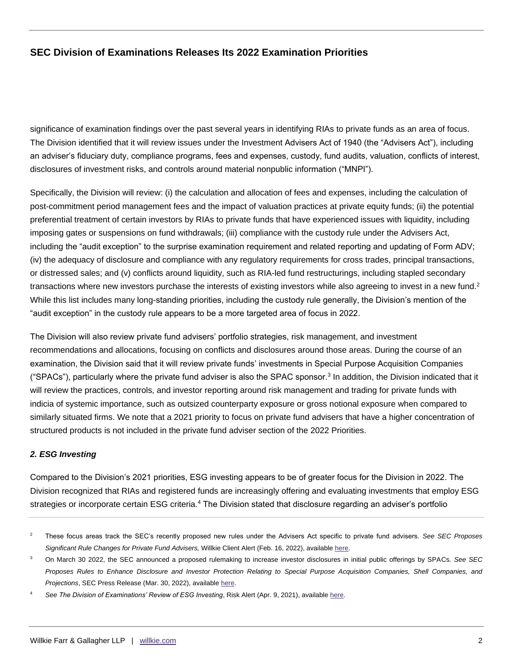significance of examination findings over the past several years in identifying RIAs to private funds as an area of focus. The Division identified that it will review issues under the Investment Advisers Act of 1940 (the "Advisers Act"), including an adviser's fiduciary duty, compliance programs, fees and expenses, custody, fund audits, valuation, conflicts of interest, disclosures of investment risks, and controls around material nonpublic information ("MNPI").

Specifically, the Division will review: (i) the calculation and allocation of fees and expenses, including the calculation of post-commitment period management fees and the impact of valuation practices at private equity funds; (ii) the potential preferential treatment of certain investors by RIAs to private funds that have experienced issues with liquidity, including imposing gates or suspensions on fund withdrawals; (iii) compliance with the custody rule under the Advisers Act, including the "audit exception" to the surprise examination requirement and related reporting and updating of Form ADV; (iv) the adequacy of disclosure and compliance with any regulatory requirements for cross trades, principal transactions, or distressed sales; and (v) conflicts around liquidity, such as RIA-led fund restructurings, including stapled secondary transactions where new investors purchase the interests of existing investors while also agreeing to invest in a new fund.<sup>2</sup> While this list includes many long-standing priorities, including the custody rule generally, the Division's mention of the "audit exception" in the custody rule appears to be a more targeted area of focus in 2022.

The Division will also review private fund advisers' portfolio strategies, risk management, and investment recommendations and allocations, focusing on conflicts and disclosures around those areas. During the course of an examination, the Division said that it will review private funds' investments in Special Purpose Acquisition Companies ("SPACs"), particularly where the private fund adviser is also the SPAC sponsor.<sup>3</sup> In addition, the Division indicated that it will review the practices, controls, and investor reporting around risk management and trading for private funds with indicia of systemic importance, such as outsized counterparty exposure or gross notional exposure when compared to similarly situated firms. We note that a 2021 priority to focus on private fund advisers that have a higher concentration of structured products is not included in the private fund adviser section of the 2022 Priorities.

## *2. ESG Investing*

Compared to the Division's 2021 priorities, ESG investing appears to be of greater focus for the Division in 2022. The Division recognized that RIAs and registered funds are increasingly offering and evaluating investments that employ ESG strategies or incorporate certain ESG criteria.<sup>4</sup> The Division stated that disclosure regarding an adviser's portfolio

<sup>2</sup> These focus areas track the SEC's recently proposed new rules under the Advisers Act specific to private fund advisers. *See SEC Proposes Significant Rule Changes for Private Fund Advisers,* Willkie Client Alert (Feb. 16, 2022), available [here.](https://www.google.com/url?sa=t&rct=j&q=&esrc=s&source=web&cd=&cad=rja&uact=8&ved=2ahUKEwjI6J2rz473AhWPZzABHfeEApgQFnoECAkQAQ&url=https%3A%2F%2Fwww.willkie.com%2F-%2Fmedia%2Ffiles%2Fpublications%2F2022%2Fsecproposessignificantrulechangesforprivatefundadv.pdf&usg=AOvVaw3fOQDUhkRPfHXhqssshMz1)

<sup>3</sup> On March 30 2022, the SEC announced a proposed rulemaking to increase investor disclosures in initial public offerings by SPACs. *See SEC Proposes Rules to Enhance Disclosure and Investor Protection Relating to Special Purpose Acquisition Companies, Shell Companies, and Projections*, SEC Press Release (Mar. 30, 2022), available [here.](https://www.sec.gov/news/press-release/2022-56)

See The Division of Examinations' Review of ESG Investing, Risk Alert (Apr. 9, 2021), available [here.](https://www.sec.gov/files/esg-risk-alert.pdf)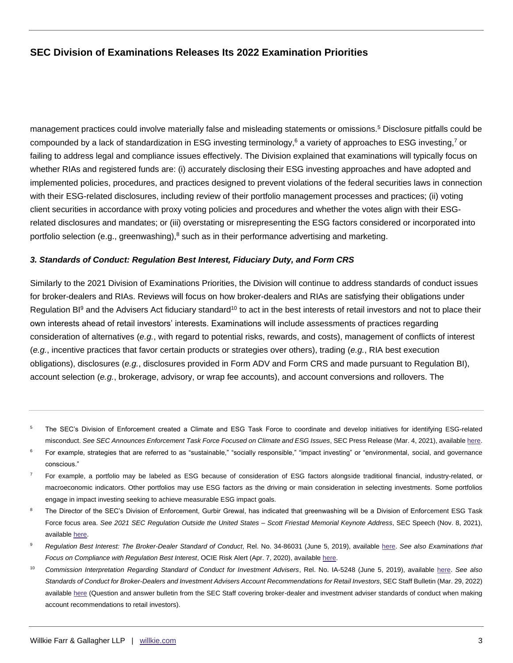management practices could involve materially false and misleading statements or omissions.<sup>5</sup> Disclosure pitfalls could be compounded by a lack of standardization in ESG investing terminology,<sup>6</sup> a variety of approaches to ESG investing,<sup>7</sup> or failing to address legal and compliance issues effectively. The Division explained that examinations will typically focus on whether RIAs and registered funds are: (i) accurately disclosing their ESG investing approaches and have adopted and implemented policies, procedures, and practices designed to prevent violations of the federal securities laws in connection with their ESG-related disclosures, including review of their portfolio management processes and practices; (ii) voting client securities in accordance with proxy voting policies and procedures and whether the votes align with their ESGrelated disclosures and mandates; or (iii) overstating or misrepresenting the ESG factors considered or incorporated into portfolio selection (e.g., greenwashing), $8$  such as in their performance advertising and marketing.

#### *3. Standards of Conduct: Regulation Best Interest, Fiduciary Duty, and Form CRS*

Similarly to the 2021 Division of Examinations Priorities, the Division will continue to address standards of conduct issues for broker-dealers and RIAs. Reviews will focus on how broker-dealers and RIAs are satisfying their obligations under Regulation BI $9$  and the Advisers Act fiduciary standard<sup>10</sup> to act in the best interests of retail investors and not to place their own interests ahead of retail investors' interests. Examinations will include assessments of practices regarding consideration of alternatives (*e.g.*, with regard to potential risks, rewards, and costs), management of conflicts of interest (*e.g.*, incentive practices that favor certain products or strategies over others), trading (*e.g.*, RIA best execution obligations), disclosures (*e.g.*, disclosures provided in Form ADV and Form CRS and made pursuant to Regulation BI), account selection (*e.g.*, brokerage, advisory, or wrap fee accounts), and account conversions and rollovers. The

- <sup>5</sup> The SEC's Division of Enforcement created a Climate and ESG Task Force to coordinate and develop initiatives for identifying ESG-related misconduct. *See SEC Announces Enforcement Task Force Focused on Climate and ESG Issues*, SEC Press Release (Mar. 4, 2021), available [here.](https://www.sec.gov/news/press-release/2021-42)
- For example, strategies that are referred to as "sustainable," "socially responsible," "impact investing" or "environmental, social, and governance conscious."
- <sup>7</sup> For example, a portfolio may be labeled as ESG because of consideration of ESG factors alongside traditional financial, industry-related, or macroeconomic indicators. Other portfolios may use ESG factors as the driving or main consideration in selecting investments. Some portfolios engage in impact investing seeking to achieve measurable ESG impact goals.
- The Director of the SEC's Division of Enforcement, Gurbir Grewal, has indicated that greenwashing will be a Division of Enforcement ESG Task Force focus area. *See 2021 SEC Regulation Outside the United States – Scott Friestad Memorial Keynote Address*, SEC Speech (Nov. 8, 2021), available [here.](https://www.google.com/url?sa=t&rct=j&q=&esrc=s&source=web&cd=&cad=rja&uact=8&ved=2ahUKEwiFv6O_0I73AhUHWN8KHefiA8EQFnoECAgQAQ&url=https%3A%2F%2Fwww.sec.gov%2Fnews%2Fspeeches-statements&usg=AOvVaw1EmgxMDj_5YlqwZhTfCjgD)
- <sup>9</sup> *Regulation Best Interest: The Broker-Dealer Standard of Conduct*, Rel. No. 34-86031 (June 5, 2019), available [here.](https://www.google.com/url?sa=t&rct=j&q=&esrc=s&source=web&cd=&cad=rja&uact=8&ved=2ahUKEwjy0dDk0I73AhVOheAKHe9iBNQQFnoECAQQAQ&url=https%3A%2F%2Fwww.sec.gov%2Frules%2Ffinal%2F2019%2F34-86031.pdf&usg=AOvVaw0C0WKKSXOgsSf_mMw-m4jD) *See also Examinations that Focus on Compliance with Regulation Best Interest*, OCIE Risk Alert (Apr. 7, 2020), available [here.](https://www.google.com/url?sa=t&rct=j&q=&esrc=s&source=web&cd=&cad=rja&uact=8&ved=2ahUKEwjunLTW0I73AhWtTN8KHd7_CCAQFnoECAsQAQ&url=https%3A%2F%2Fwww.sec.gov%2Ffiles%2FRisk%2520Alert-%2520Regulation%2520Best%2520Interest%2520Exams.pdf&usg=AOvVaw2qMQEji0mJ8TD5H3pYbpl5)
- <sup>10</sup> *Commission Interpretation Regarding Standard of Conduct for Investment Advisers*, Rel. No. IA-5248 (June 5, 2019), available [here.](https://www.google.com/url?sa=t&rct=j&q=&esrc=s&source=web&cd=&cad=rja&uact=8&ved=2ahUKEwjVhLSr0I73AhUHmeAKHXyBDloQFnoECAwQAQ&url=https%3A%2F%2Fwww.sec.gov%2Frules%2Finterp%2F2019%2Fia-5248.pdf&usg=AOvVaw1LI5s_2I5d3vOjXhy7wCef) *See also Standards of Conduct for Broker-Dealers and Investment Advisers Account Recommendations for Retail Investors*, SEC Staff Bulletin (Mar. 29, 2022) available [here](https://www.sec.gov/tm/iabd-staff-bulletin) (Question and answer bulletin from the SEC Staff covering broker-dealer and investment adviser standards of conduct when making account recommendations to retail investors).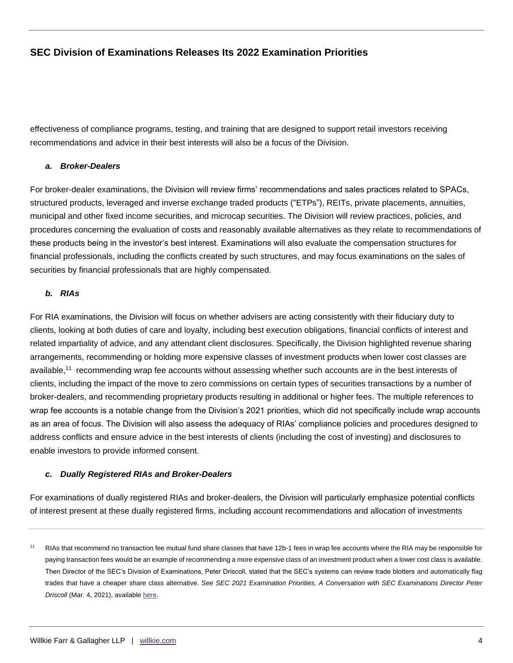effectiveness of compliance programs, testing, and training that are designed to support retail investors receiving recommendations and advice in their best interests will also be a focus of the Division.

## *a. Broker-Dealers*

For broker-dealer examinations, the Division will review firms' recommendations and sales practices related to SPACs, structured products, leveraged and inverse exchange traded products ("ETPs"), REITs, private placements, annuities, municipal and other fixed income securities, and microcap securities. The Division will review practices, policies, and procedures concerning the evaluation of costs and reasonably available alternatives as they relate to recommendations of these products being in the investor's best interest. Examinations will also evaluate the compensation structures for financial professionals, including the conflicts created by such structures, and may focus examinations on the sales of securities by financial professionals that are highly compensated.

## *b. RIAs*

For RIA examinations, the Division will focus on whether advisers are acting consistently with their fiduciary duty to clients, looking at both duties of care and loyalty, including best execution obligations, financial conflicts of interest and related impartiality of advice, and any attendant client disclosures. Specifically, the Division highlighted revenue sharing arrangements, recommending or holding more expensive classes of investment products when lower cost classes are available,<sup>11</sup> recommending wrap fee accounts without assessing whether such accounts are in the best interests of clients, including the impact of the move to zero commissions on certain types of securities transactions by a number of broker-dealers, and recommending proprietary products resulting in additional or higher fees. The multiple references to wrap fee accounts is a notable change from the Division's 2021 priorities, which did not specifically include wrap accounts as an area of focus. The Division will also assess the adequacy of RIAs' compliance policies and procedures designed to address conflicts and ensure advice in the best interests of clients (including the cost of investing) and disclosures to enable investors to provide informed consent.

## *c. Dually Registered RIAs and Broker-Dealers*

For examinations of dually registered RIAs and broker-dealers, the Division will particularly emphasize potential conflicts of interest present at these dually registered firms, including account recommendations and allocation of investments

<sup>&</sup>lt;sup>11</sup> RIAs that recommend no transaction fee mutual fund share classes that have 12b-1 fees in wrap fee accounts where the RIA may be responsible for paying transaction fees would be an example of recommending a more expensive class of an investment product when a lower cost class is available. Then Director of the SEC's Division of Examinations, Peter Driscoll, stated that the SEC's systems can review trade blotters and automatically flag trades that have a cheaper share class alternative. *See SEC 2021 Examination Priorities, A Conversation with SEC Examinations Director Peter Driscoll* (Mar. 4, 2021), available [here.](https://www.youtube.com/watch?v=zKUMaPBxrB4)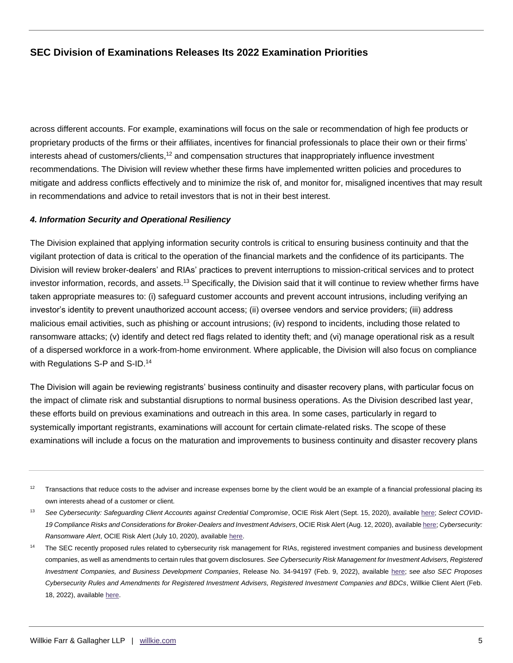across different accounts. For example, examinations will focus on the sale or recommendation of high fee products or proprietary products of the firms or their affiliates, incentives for financial professionals to place their own or their firms' interests ahead of customers/clients,<sup>12</sup> and compensation structures that inappropriately influence investment recommendations. The Division will review whether these firms have implemented written policies and procedures to mitigate and address conflicts effectively and to minimize the risk of, and monitor for, misaligned incentives that may result in recommendations and advice to retail investors that is not in their best interest.

## *4. Information Security and Operational Resiliency*

The Division explained that applying information security controls is critical to ensuring business continuity and that the vigilant protection of data is critical to the operation of the financial markets and the confidence of its participants. The Division will review broker-dealers' and RIAs' practices to prevent interruptions to mission-critical services and to protect investor information, records, and assets.<sup>13</sup> Specifically, the Division said that it will continue to review whether firms have taken appropriate measures to: (i) safeguard customer accounts and prevent account intrusions, including verifying an investor's identity to prevent unauthorized account access; (ii) oversee vendors and service providers; (iii) address malicious email activities, such as phishing or account intrusions; (iv) respond to incidents, including those related to ransomware attacks; (v) identify and detect red flags related to identity theft; and (vi) manage operational risk as a result of a dispersed workforce in a work-from-home environment. Where applicable, the Division will also focus on compliance with Regulations S-P and S-ID.<sup>14</sup>

The Division will again be reviewing registrants' business continuity and disaster recovery plans, with particular focus on the impact of climate risk and substantial disruptions to normal business operations. As the Division described last year, these efforts build on previous examinations and outreach in this area. In some cases, particularly in regard to systemically important registrants, examinations will account for certain climate-related risks. The scope of these examinations will include a focus on the maturation and improvements to business continuity and disaster recovery plans

 $12$  Transactions that reduce costs to the adviser and increase expenses borne by the client would be an example of a financial professional placing its own interests ahead of a customer or client.

<sup>13</sup> *See Cybersecurity: Safeguarding Client Accounts against Credential Compromise*, OCIE Risk Alert (Sept. 15, 2020), available [here;](https://www.sec.gov/files/Risk%20Alert%20-%20Credential%20Compromise.pdf) *Select COVID-19 Compliance Risks and Considerations for Broker-Dealers and Investment Advisers*, OCIE Risk Alert (Aug. 12, 2020), availabl[e here;](https://www.sec.gov/files/Risk%20Alert%20-%20COVID-19%20Compliance.pdf) *Cybersecurity: Ransomware Alert*, OCIE Risk Alert (July 10, 2020), availabl[e here.](https://www.sec.gov/files/Risk%20Alert%20-%20Ransomware.pdf)

<sup>&</sup>lt;sup>14</sup> The SEC recently proposed rules related to cybersecurity risk management for RIAs, registered investment companies and business development companies, as well as amendments to certain rules that govern disclosures. *See Cybersecurity Risk Management for Investment Advisers, Registered Investment Companies, and Business Development Companies*, Release No. 34-94197 (Feb. 9, 2022), available [here;](https://www.sec.gov/rules/proposed/2022/33-11028.pdf) s*ee also SEC Proposes Cybersecurity Rules and Amendments for Registered Investment Advisers, Registered Investment Companies and BDCs*, Willkie Client Alert (Feb. 18, 2022), available [here.](https://www.google.com/url?sa=t&rct=j&q=&esrc=s&source=web&cd=&ved=2ahUKEwjzp8GZ5pb3AhXNSTABHaojDJcQFnoECA8QAQ&url=https%3A%2F%2Fwww.willkie.com%2F-%2Fmedia%2Ffiles%2Fpublications%2F2022%2Fsecproposescybersecurityrulesandamendmentsforregis.pdf&usg=AOvVaw1rGdoVwzXZcxUfQdqdVyyS)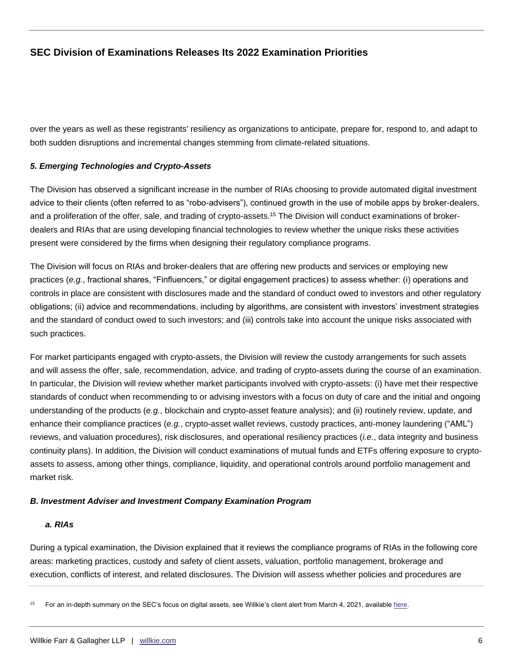over the years as well as these registrants' resiliency as organizations to anticipate, prepare for, respond to, and adapt to both sudden disruptions and incremental changes stemming from climate-related situations.

## *5. Emerging Technologies and Crypto-Assets*

The Division has observed a significant increase in the number of RIAs choosing to provide automated digital investment advice to their clients (often referred to as "robo-advisers"), continued growth in the use of mobile apps by broker-dealers, and a proliferation of the offer, sale, and trading of crypto-assets.<sup>15</sup> The Division will conduct examinations of brokerdealers and RIAs that are using developing financial technologies to review whether the unique risks these activities present were considered by the firms when designing their regulatory compliance programs.

The Division will focus on RIAs and broker-dealers that are offering new products and services or employing new practices (*e.g.*, fractional shares, "Finfluencers," or digital engagement practices) to assess whether: (i) operations and controls in place are consistent with disclosures made and the standard of conduct owed to investors and other regulatory obligations; (ii) advice and recommendations, including by algorithms, are consistent with investors' investment strategies and the standard of conduct owed to such investors; and (iii) controls take into account the unique risks associated with such practices.

For market participants engaged with crypto-assets, the Division will review the custody arrangements for such assets and will assess the offer, sale, recommendation, advice, and trading of crypto-assets during the course of an examination. In particular, the Division will review whether market participants involved with crypto-assets: (i) have met their respective standards of conduct when recommending to or advising investors with a focus on duty of care and the initial and ongoing understanding of the products (*e.g.*, blockchain and crypto-asset feature analysis); and (ii) routinely review, update, and enhance their compliance practices (*e.g.*, crypto-asset wallet reviews, custody practices, anti-money laundering ("AML") reviews, and valuation procedures), risk disclosures, and operational resiliency practices (*i.e.*, data integrity and business continuity plans). In addition, the Division will conduct examinations of mutual funds and ETFs offering exposure to cryptoassets to assess, among other things, compliance, liquidity, and operational controls around portfolio management and market risk.

## *B. Investment Adviser and Investment Company Examination Program*

## *a. RIAs*

During a typical examination, the Division explained that it reviews the compliance programs of RIAs in the following core areas: marketing practices, custody and safety of client assets, valuation, portfolio management, brokerage and execution, conflicts of interest, and related disclosures. The Division will assess whether policies and procedures are

<sup>15</sup> For an in-depth summary on the SEC's focus on digital assets, see Willkie's client alert from March 4, 2021, available [here.](https://www.willkie.com/-/media/files/publications/2021/03/secstaffissuesriskalert.pdf)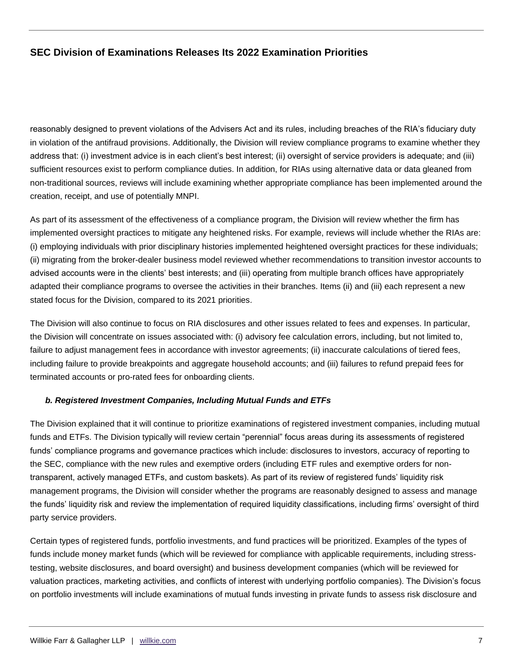reasonably designed to prevent violations of the Advisers Act and its rules, including breaches of the RIA's fiduciary duty in violation of the antifraud provisions. Additionally, the Division will review compliance programs to examine whether they address that: (i) investment advice is in each client's best interest; (ii) oversight of service providers is adequate; and (iii) sufficient resources exist to perform compliance duties. In addition, for RIAs using alternative data or data gleaned from non-traditional sources, reviews will include examining whether appropriate compliance has been implemented around the creation, receipt, and use of potentially MNPI.

As part of its assessment of the effectiveness of a compliance program, the Division will review whether the firm has implemented oversight practices to mitigate any heightened risks. For example, reviews will include whether the RIAs are: (i) employing individuals with prior disciplinary histories implemented heightened oversight practices for these individuals; (ii) migrating from the broker-dealer business model reviewed whether recommendations to transition investor accounts to advised accounts were in the clients' best interests; and (iii) operating from multiple branch offices have appropriately adapted their compliance programs to oversee the activities in their branches. Items (ii) and (iii) each represent a new stated focus for the Division, compared to its 2021 priorities.

The Division will also continue to focus on RIA disclosures and other issues related to fees and expenses. In particular, the Division will concentrate on issues associated with: (i) advisory fee calculation errors, including, but not limited to, failure to adjust management fees in accordance with investor agreements; (ii) inaccurate calculations of tiered fees, including failure to provide breakpoints and aggregate household accounts; and (iii) failures to refund prepaid fees for terminated accounts or pro-rated fees for onboarding clients.

## *b. Registered Investment Companies, Including Mutual Funds and ETFs*

The Division explained that it will continue to prioritize examinations of registered investment companies, including mutual funds and ETFs. The Division typically will review certain "perennial" focus areas during its assessments of registered funds' compliance programs and governance practices which include: disclosures to investors, accuracy of reporting to the SEC, compliance with the new rules and exemptive orders (including ETF rules and exemptive orders for nontransparent, actively managed ETFs, and custom baskets). As part of its review of registered funds' liquidity risk management programs, the Division will consider whether the programs are reasonably designed to assess and manage the funds' liquidity risk and review the implementation of required liquidity classifications, including firms' oversight of third party service providers.

Certain types of registered funds, portfolio investments, and fund practices will be prioritized. Examples of the types of funds include money market funds (which will be reviewed for compliance with applicable requirements, including stresstesting, website disclosures, and board oversight) and business development companies (which will be reviewed for valuation practices, marketing activities, and conflicts of interest with underlying portfolio companies). The Division's focus on portfolio investments will include examinations of mutual funds investing in private funds to assess risk disclosure and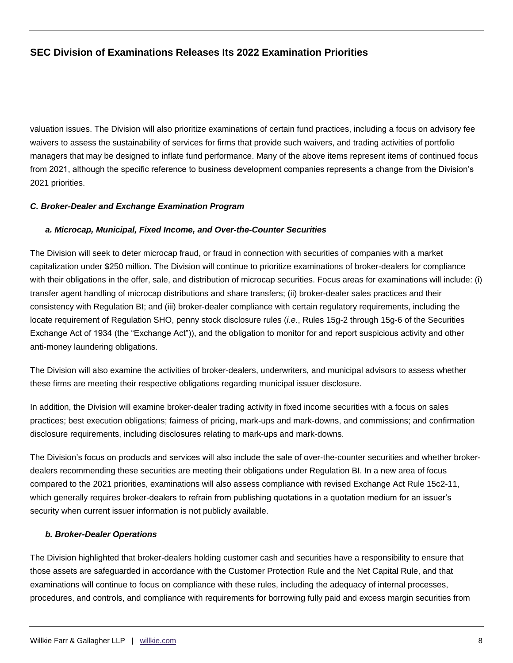valuation issues. The Division will also prioritize examinations of certain fund practices, including a focus on advisory fee waivers to assess the sustainability of services for firms that provide such waivers, and trading activities of portfolio managers that may be designed to inflate fund performance. Many of the above items represent items of continued focus from 2021, although the specific reference to business development companies represents a change from the Division's 2021 priorities.

## *C. Broker-Dealer and Exchange Examination Program*

#### *a. Microcap, Municipal, Fixed Income, and Over-the-Counter Securities*

The Division will seek to deter microcap fraud, or fraud in connection with securities of companies with a market capitalization under \$250 million. The Division will continue to prioritize examinations of broker-dealers for compliance with their obligations in the offer, sale, and distribution of microcap securities. Focus areas for examinations will include: (i) transfer agent handling of microcap distributions and share transfers; (ii) broker-dealer sales practices and their consistency with Regulation BI; and (iii) broker-dealer compliance with certain regulatory requirements, including the locate requirement of Regulation SHO, penny stock disclosure rules (*i.e.*, Rules 15g-2 through 15g-6 of the Securities Exchange Act of 1934 (the "Exchange Act")), and the obligation to monitor for and report suspicious activity and other anti-money laundering obligations.

The Division will also examine the activities of broker-dealers, underwriters, and municipal advisors to assess whether these firms are meeting their respective obligations regarding municipal issuer disclosure.

In addition, the Division will examine broker-dealer trading activity in fixed income securities with a focus on sales practices; best execution obligations; fairness of pricing, mark-ups and mark-downs, and commissions; and confirmation disclosure requirements, including disclosures relating to mark-ups and mark-downs.

The Division's focus on products and services will also include the sale of over-the-counter securities and whether brokerdealers recommending these securities are meeting their obligations under Regulation BI. In a new area of focus compared to the 2021 priorities, examinations will also assess compliance with revised Exchange Act Rule 15c2-11, which generally requires broker-dealers to refrain from publishing quotations in a quotation medium for an issuer's security when current issuer information is not publicly available.

#### *b. Broker-Dealer Operations*

The Division highlighted that broker-dealers holding customer cash and securities have a responsibility to ensure that those assets are safeguarded in accordance with the Customer Protection Rule and the Net Capital Rule, and that examinations will continue to focus on compliance with these rules, including the adequacy of internal processes, procedures, and controls, and compliance with requirements for borrowing fully paid and excess margin securities from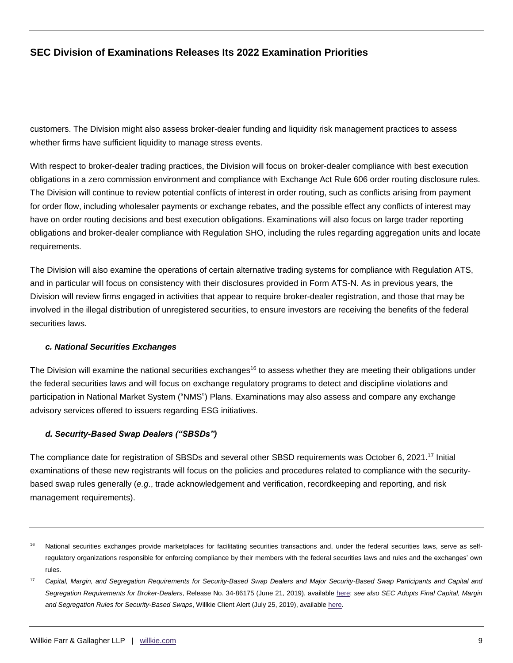customers. The Division might also assess broker-dealer funding and liquidity risk management practices to assess whether firms have sufficient liquidity to manage stress events.

With respect to broker-dealer trading practices, the Division will focus on broker-dealer compliance with best execution obligations in a zero commission environment and compliance with Exchange Act Rule 606 order routing disclosure rules. The Division will continue to review potential conflicts of interest in order routing, such as conflicts arising from payment for order flow, including wholesaler payments or exchange rebates, and the possible effect any conflicts of interest may have on order routing decisions and best execution obligations. Examinations will also focus on large trader reporting obligations and broker-dealer compliance with Regulation SHO, including the rules regarding aggregation units and locate requirements.

The Division will also examine the operations of certain alternative trading systems for compliance with Regulation ATS, and in particular will focus on consistency with their disclosures provided in Form ATS-N. As in previous years, the Division will review firms engaged in activities that appear to require broker-dealer registration, and those that may be involved in the illegal distribution of unregistered securities, to ensure investors are receiving the benefits of the federal securities laws.

#### *c. National Securities Exchanges*

The Division will examine the national securities exchanges<sup>16</sup> to assess whether they are meeting their obligations under the federal securities laws and will focus on exchange regulatory programs to detect and discipline violations and participation in National Market System ("NMS") Plans. Examinations may also assess and compare any exchange advisory services offered to issuers regarding ESG initiatives.

## *d. Security-Based Swap Dealers ("SBSDs")*

The compliance date for registration of SBSDs and several other SBSD requirements was October 6, 2021.<sup>17</sup> Initial examinations of these new registrants will focus on the policies and procedures related to compliance with the securitybased swap rules generally (*e.g*., trade acknowledgement and verification, recordkeeping and reporting, and risk management requirements).

<sup>&</sup>lt;sup>16</sup> National securities exchanges provide marketplaces for facilitating securities transactions and, under the federal securities laws, serve as selfregulatory organizations responsible for enforcing compliance by their members with the federal securities laws and rules and the exchanges' own rules.

<sup>&</sup>lt;sup>17</sup> Capital, Margin, and Segregation Requirements for Security-Based Swap Dealers and Major Security-Based Swap Participants and Capital and *Segregation Requirements for Broker-Dealers*, Release No. 34-86175 (June 21, 2019), available [here;](https://www.sec.gov/rules/final/2019/34-86175.pdf) *see also SEC Adopts Final Capital, Margin and Segregation Rules for Security-Based Swaps*, Willkie Client Alert (July 25, 2019), available [here.](https://www.bing.com/search?q=SEC+Adopts+Capital%2C+Margin%2C+and+Segregation+Requirements+for+Security-Based+Swap+Dealers+and+Major+Security-Based+Swap+Participants+and+Amends+the+Capital+and+Segregation+Requirements+for+Broker-Dealers+willkie&cvid=b3320186303c46ae996f741e2d3488b2&aqs=edge..69i57j69i64.1854j0j4&FORM=ANAB01&PC=U531)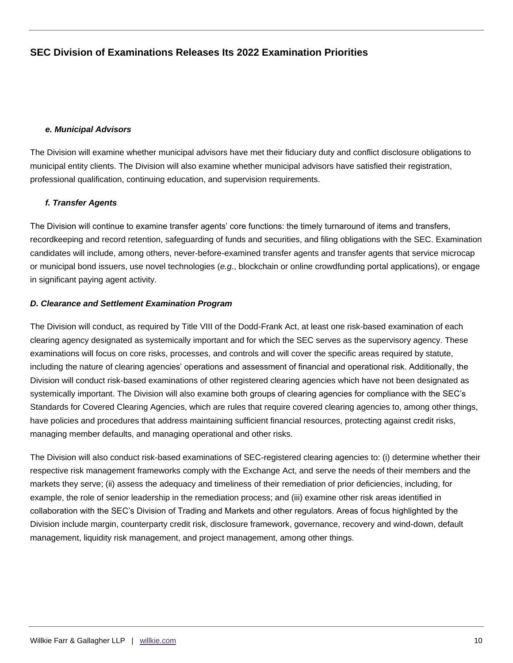#### *e. Municipal Advisors*

The Division will examine whether municipal advisors have met their fiduciary duty and conflict disclosure obligations to municipal entity clients. The Division will also examine whether municipal advisors have satisfied their registration, professional qualification, continuing education, and supervision requirements.

## *f. Transfer Agents*

The Division will continue to examine transfer agents' core functions: the timely turnaround of items and transfers, recordkeeping and record retention, safeguarding of funds and securities, and filing obligations with the SEC. Examination candidates will include, among others, never-before-examined transfer agents and transfer agents that service microcap or municipal bond issuers, use novel technologies (*e.g.*, blockchain or online crowdfunding portal applications), or engage in significant paying agent activity.

#### *D. Clearance and Settlement Examination Program*

The Division will conduct, as required by Title VIII of the Dodd-Frank Act, at least one risk-based examination of each clearing agency designated as systemically important and for which the SEC serves as the supervisory agency. These examinations will focus on core risks, processes, and controls and will cover the specific areas required by statute, including the nature of clearing agencies' operations and assessment of financial and operational risk. Additionally, the Division will conduct risk-based examinations of other registered clearing agencies which have not been designated as systemically important. The Division will also examine both groups of clearing agencies for compliance with the SEC's Standards for Covered Clearing Agencies, which are rules that require covered clearing agencies to, among other things, have policies and procedures that address maintaining sufficient financial resources, protecting against credit risks, managing member defaults, and managing operational and other risks.

The Division will also conduct risk-based examinations of SEC-registered clearing agencies to: (i) determine whether their respective risk management frameworks comply with the Exchange Act, and serve the needs of their members and the markets they serve; (ii) assess the adequacy and timeliness of their remediation of prior deficiencies, including, for example, the role of senior leadership in the remediation process; and (iii) examine other risk areas identified in collaboration with the SEC's Division of Trading and Markets and other regulators. Areas of focus highlighted by the Division include margin, counterparty credit risk, disclosure framework, governance, recovery and wind-down, default management, liquidity risk management, and project management, among other things.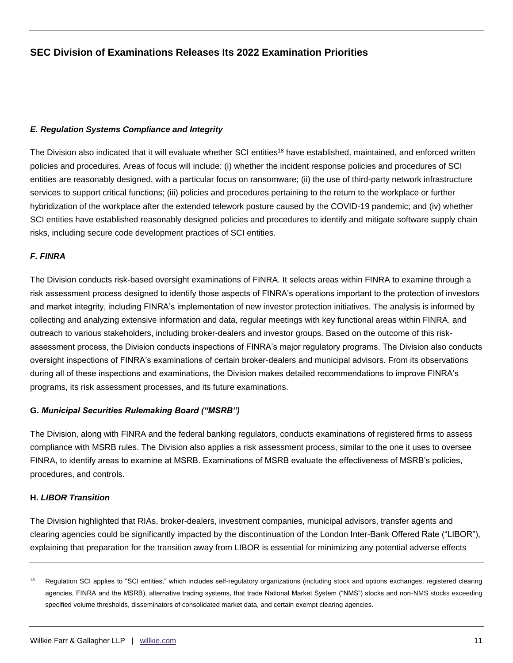#### *E. Regulation Systems Compliance and Integrity*

The Division also indicated that it will evaluate whether SCI entities<sup>18</sup> have established, maintained, and enforced written policies and procedures. Areas of focus will include: (i) whether the incident response policies and procedures of SCI entities are reasonably designed, with a particular focus on ransomware; (ii) the use of third-party network infrastructure services to support critical functions; (iii) policies and procedures pertaining to the return to the workplace or further hybridization of the workplace after the extended telework posture caused by the COVID-19 pandemic; and (iv) whether SCI entities have established reasonably designed policies and procedures to identify and mitigate software supply chain risks, including secure code development practices of SCI entities.

## *F. FINRA*

The Division conducts risk-based oversight examinations of FINRA. It selects areas within FINRA to examine through a risk assessment process designed to identify those aspects of FINRA's operations important to the protection of investors and market integrity, including FINRA's implementation of new investor protection initiatives. The analysis is informed by collecting and analyzing extensive information and data, regular meetings with key functional areas within FINRA, and outreach to various stakeholders, including broker-dealers and investor groups. Based on the outcome of this riskassessment process, the Division conducts inspections of FINRA's major regulatory programs. The Division also conducts oversight inspections of FINRA's examinations of certain broker-dealers and municipal advisors. From its observations during all of these inspections and examinations, the Division makes detailed recommendations to improve FINRA's programs, its risk assessment processes, and its future examinations.

## **G.** *Municipal Securities Rulemaking Board ("MSRB")*

The Division, along with FINRA and the federal banking regulators, conducts examinations of registered firms to assess compliance with MSRB rules. The Division also applies a risk assessment process, similar to the one it uses to oversee FINRA, to identify areas to examine at MSRB. Examinations of MSRB evaluate the effectiveness of MSRB's policies, procedures, and controls.

#### **H.** *LIBOR Transition*

The Division highlighted that RIAs, broker-dealers, investment companies, municipal advisors, transfer agents and clearing agencies could be significantly impacted by the discontinuation of the London Inter-Bank Offered Rate ("LIBOR"), explaining that preparation for the transition away from LIBOR is essential for minimizing any potential adverse effects

<sup>&</sup>lt;sup>18</sup> Regulation SCI applies to "SCI entities," which includes self-regulatory organizations (including stock and options exchanges, registered clearing agencies, FINRA and the MSRB), alternative trading systems, that trade National Market System ("NMS") stocks and non-NMS stocks exceeding specified volume thresholds, disseminators of consolidated market data, and certain exempt clearing agencies.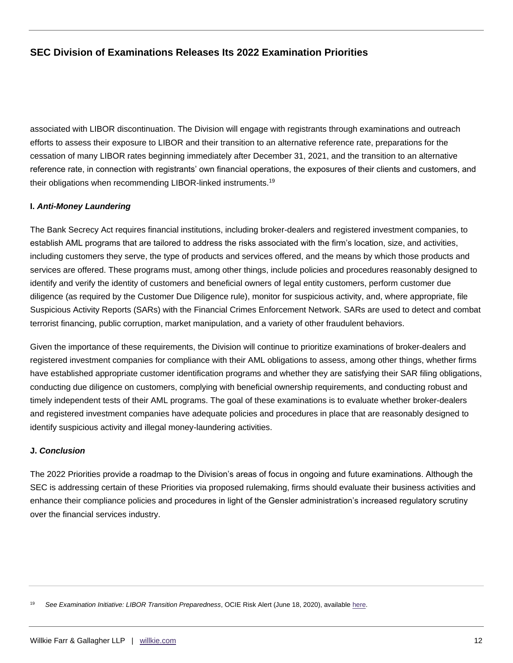associated with LIBOR discontinuation. The Division will engage with registrants through examinations and outreach efforts to assess their exposure to LIBOR and their transition to an alternative reference rate, preparations for the cessation of many LIBOR rates beginning immediately after December 31, 2021, and the transition to an alternative reference rate, in connection with registrants' own financial operations, the exposures of their clients and customers, and their obligations when recommending LIBOR-linked instruments.<sup>19</sup>

## **I.** *Anti-Money Laundering*

The Bank Secrecy Act requires financial institutions, including broker-dealers and registered investment companies, to establish AML programs that are tailored to address the risks associated with the firm's location, size, and activities, including customers they serve, the type of products and services offered, and the means by which those products and services are offered. These programs must, among other things, include policies and procedures reasonably designed to identify and verify the identity of customers and beneficial owners of legal entity customers, perform customer due diligence (as required by the Customer Due Diligence rule), monitor for suspicious activity, and, where appropriate, file Suspicious Activity Reports (SARs) with the Financial Crimes Enforcement Network. SARs are used to detect and combat terrorist financing, public corruption, market manipulation, and a variety of other fraudulent behaviors.

Given the importance of these requirements, the Division will continue to prioritize examinations of broker-dealers and registered investment companies for compliance with their AML obligations to assess, among other things, whether firms have established appropriate customer identification programs and whether they are satisfying their SAR filing obligations, conducting due diligence on customers, complying with beneficial ownership requirements, and conducting robust and timely independent tests of their AML programs. The goal of these examinations is to evaluate whether broker-dealers and registered investment companies have adequate policies and procedures in place that are reasonably designed to identify suspicious activity and illegal money-laundering activities.

## **J.** *Conclusion*

The 2022 Priorities provide a roadmap to the Division's areas of focus in ongoing and future examinations. Although the SEC is addressing certain of these Priorities via proposed rulemaking, firms should evaluate their business activities and enhance their compliance policies and procedures in light of the Gensler administration's increased regulatory scrutiny over the financial services industry.

<sup>19</sup> *See Examination Initiative: LIBOR Transition Preparedness*, OCIE Risk Alert (June 18, 2020), available [here.](https://www.sec.gov/files/Risk%20Alert%20-%20OCIE%20LIBOR%20Initiative_1.pdf)